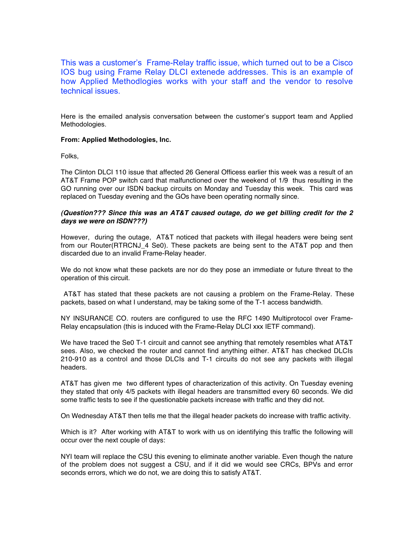This was a customer's Frame-Relay traffic issue, which turned out to be a Cisco IOS bug using Frame Relay DLCI extenede addresses. This is an example of how Applied Methodlogies works with your staff and the vendor to resolve technical issues.

Here is the emailed analysis conversation between the customer's support team and Applied Methodologies.

## **From: Applied Methodologies, Inc.**

Folks,

The Clinton DLCI 110 issue that affected 26 General Officess earlier this week was a result of an AT&T Frame POP switch card that malfunctioned over the weekend of 1/9 thus resulting in the GO running over our ISDN backup circuits on Monday and Tuesday this week. This card was replaced on Tuesday evening and the GOs have been operating normally since.

## **(Question??? Since this was an AT&T caused outage, do we get billing credit for the 2 days we were on ISDN???)**

However, during the outage, AT&T noticed that packets with illegal headers were being sent from our Router(RTRCNJ\_4 Se0). These packets are being sent to the AT&T pop and then discarded due to an invalid Frame-Relay header.

We do not know what these packets are nor do they pose an immediate or future threat to the operation of this circuit.

AT&T has stated that these packets are not causing a problem on the Frame-Relay. These packets, based on what I understand, may be taking some of the T-1 access bandwidth.

NY INSURANCE CO. routers are configured to use the RFC 1490 Multiprotocol over Frame-Relay encapsulation (this is induced with the Frame-Relay DLCI xxx IETF command).

We have traced the Se0 T-1 circuit and cannot see anything that remotely resembles what AT&T sees. Also, we checked the router and cannot find anything either. AT&T has checked DLCIs 210-910 as a control and those DLCIs and T-1 circuits do not see any packets with illegal headers.

AT&T has given me two different types of characterization of this activity. On Tuesday evening they stated that only 4/5 packets with illegal headers are transmitted every 60 seconds. We did some traffic tests to see if the questionable packets increase with traffic and they did not.

On Wednesday AT&T then tells me that the illegal header packets do increase with traffic activity.

Which is it? After working with AT&T to work with us on identifying this traffic the following will occur over the next couple of days:

NYI team will replace the CSU this evening to eliminate another variable. Even though the nature of the problem does not suggest a CSU, and if it did we would see CRCs, BPVs and error seconds errors, which we do not, we are doing this to satisfy AT&T.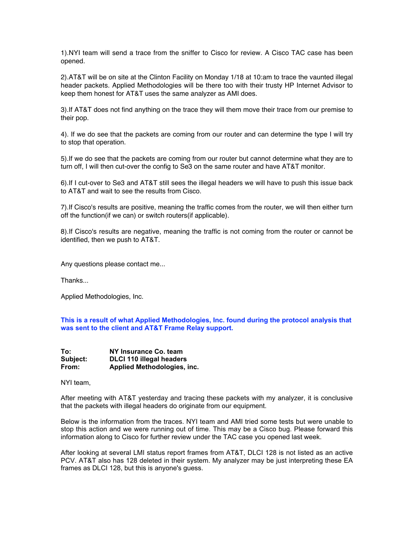1).NYI team will send a trace from the sniffer to Cisco for review. A Cisco TAC case has been opened.

2).AT&T will be on site at the Clinton Facility on Monday 1/18 at 10:am to trace the vaunted illegal header packets. Applied Methodologies will be there too with their trusty HP Internet Advisor to keep them honest for AT&T uses the same analyzer as AMI does.

3).If AT&T does not find anything on the trace they will them move their trace from our premise to their pop.

4). If we do see that the packets are coming from our router and can determine the type I will try to stop that operation.

5).If we do see that the packets are coming from our router but cannot determine what they are to turn off, I will then cut-over the config to Se3 on the same router and have AT&T monitor.

6).If I cut-over to Se3 and AT&T still sees the illegal headers we will have to push this issue back to AT&T and wait to see the results from Cisco.

7).If Cisco's results are positive, meaning the traffic comes from the router, we will then either turn off the function(if we can) or switch routers(if applicable).

8).If Cisco's results are negative, meaning the traffic is not coming from the router or cannot be identified, then we push to AT&T.

Any questions please contact me...

Thanks...

Applied Methodologies, Inc.

**This is a result of what Applied Methodologies, Inc. found during the protocol analysis that was sent to the client and AT&T Frame Relay support.**

| To:      | NY Insurance Co. team           |
|----------|---------------------------------|
| Subject: | <b>DLCI 110 illegal headers</b> |
| From:    | Applied Methodologies, inc.     |

NYI team,

After meeting with AT&T yesterday and tracing these packets with my analyzer, it is conclusive that the packets with illegal headers do originate from our equipment.

Below is the information from the traces. NYI team and AMI tried some tests but were unable to stop this action and we were running out of time. This may be a Cisco bug. Please forward this information along to Cisco for further review under the TAC case you opened last week.

After looking at several LMI status report frames from AT&T, DLCI 128 is not listed as an active PCV. AT&T also has 128 deleted in their system. My analyzer may be just interpreting these EA frames as DLCI 128, but this is anyone's guess.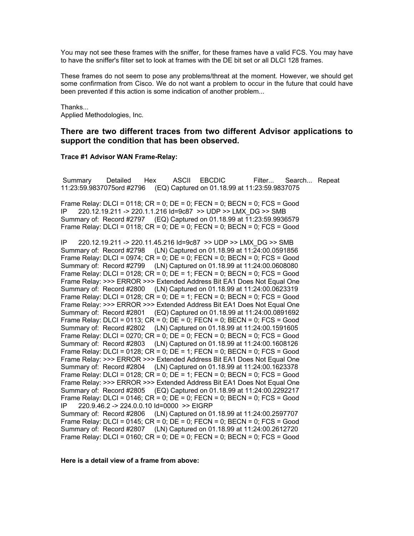You may not see these frames with the sniffer, for these frames have a valid FCS. You may have to have the sniffer's filter set to look at frames with the DE bit set or all DLCI 128 frames.

These frames do not seem to pose any problems/threat at the moment. However, we should get some confirmation from Cisco. We do not want a problem to occur in the future that could have been prevented if this action is some indication of another problem...

Thanks...

Applied Methodologies, Inc.

# **There are two different traces from two different Advisor applications to support the condition that has been observed.**

### **Trace #1 Advisor WAN Frame-Relay:**

Summary Detailed Hex ASCII EBCDIC Filter... Search... Repeat 11:23:59.9837075ord #2796 (EQ) Captured on 01.18.99 at 11:23:59.9837075

Frame Relay:  $DLCI = 0118$ :  $CR = 0$ :  $DE = 0$ :  $FECN = 0$ :  $BECN = 0$ :  $FCS = Good$ IP 220.12.19.211 -> 220.1.1.216 Id=9c87 >> UDP >> LMX\_DG >> SMB Summary of: Record #2797 (EQ) Captured on 01.18.99 at 11:23:59.9936579 Frame Relay: DLCI = 0118;  $CR = 0$ ;  $DE = 0$ ;  $FECN = 0$ ;  $BECN = 0$ ;  $FCS = Good$ 

IP 220.12.19.211 -> 220.11.45.216 Id=9c87 >> UDP >> LMX\_DG >> SMB Summary of: Record #2798 (LN) Captured on 01.18.99 at 11:24:00.0591856 Frame Relay: DLCI = 0974;  $CR = 0$ ;  $DE = 0$ ;  $FECN = 0$ ;  $BECN = 0$ ;  $FCS = Good$ Summary of: Record #2799 (LN) Captured on 01.18.99 at 11:24:00.0608080 Frame Relay: DLCI = 0128;  $CR = 0$ ;  $DE = 1$ ; FECN = 0; BECN = 0; FCS = Good Frame Relay: >>> ERROR >>> Extended Address Bit EA1 Does Not Equal One Summary of: Record #2800 (LN) Captured on 01.18.99 at 11:24:00.0623319 Frame Relay:  $DLCI = 0128$ ;  $CR = 0$ ;  $DE = 1$ ;  $FECN = 0$ ;  $BECN = 0$ ;  $FCS = Good$ Frame Relay: >>> ERROR >>> Extended Address Bit EA1 Does Not Equal One Summary of: Record #2801 (EQ) Captured on 01.18.99 at 11:24:00.0891692 Frame Relay: DLCI = 0113; CR = 0; DE = 0; FECN = 0; BECN = 0; FCS = Good Summary of: Record #2802 (LN) Captured on 01.18.99 at 11:24:00.1591605 Frame Relay:  $DLCI = 0270$ ;  $CR = 0$ ;  $DE = 0$ ;  $FECN = 0$ ;  $BECN = 0$ ;  $FCS = Good$ Summary of: Record #2803 (LN) Captured on 01.18.99 at 11:24:00.1608126 Frame Relay:  $DLCI = 0128$ ;  $CR = 0$ ;  $DE = 1$ ;  $FECN = 0$ ;  $BECN = 0$ ;  $FCS = Good$ Frame Relay: >>> ERROR >>> Extended Address Bit EA1 Does Not Equal One Summary of: Record #2804 (LN) Captured on 01.18.99 at 11:24:00.1623378 Frame Relay:  $DLCI = 0128$ ;  $CR = 0$ ;  $DE = 1$ ;  $FECN = 0$ ;  $BECN = 0$ ;  $FCS = Good$ Frame Relay: >>> ERROR >>> Extended Address Bit EA1 Does Not Equal One Summary of: Record #2805 (EQ) Captured on 01.18.99 at 11:24:00.2292217 Frame Relay: DLCI =  $0146$ ; CR = 0; DE = 0; FECN = 0; BECN = 0; FCS = Good IP 220.9.46.2 -> 224.0.0.10 Id=0000 >> EIGRP Summary of: Record #2806 (LN) Captured on 01.18.99 at 11:24:00.2597707 Frame Relay: DLCI = 0145;  $CR = 0$ ;  $DE = 0$ ;  $FECN = 0$ ;  $BCN = 0$ ;  $FCS = Good$ Summary of: Record #2807 (LN) Captured on 01.18.99 at 11:24:00.2612720 Frame Relay: DLCI =  $0160$ ; CR = 0; DE = 0; FECN = 0; BECN = 0; FCS = Good

**Here is a detail view of a frame from above:**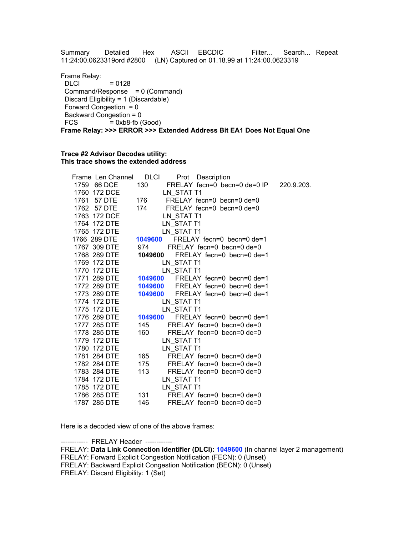Summary Detailed Hex ASCII EBCDIC Filter... Search... Repeat 11:24:00.0623319ord #2800 (LN) Captured on 01.18.99 at 11:24:00.0623319

Frame Relay:  $DLCI$  = 0128 Command/Response = 0 (Command) Discard Eligibility = 1 (Discardable) Forward Congestion  $= 0$ Backward Congestion = <br>FCS =  $0xb8$ -fb (  $= 0xb8-fb$  (Good) **Frame Relay: >>> ERROR >>> Extended Address Bit EA1 Does Not Equal One**

### **Trace #2 Advisor Decodes utility: This trace shows the extended address**

| Frame Len Channel DLCI |       | Prot Description                            |  |
|------------------------|-------|---------------------------------------------|--|
| 1759 66 DCE            |       | 130 FRELAY fecn=0 becn=0 de=0 IP 220.9.203. |  |
| 1760 172 DCE           |       | LN STAT T1                                  |  |
| 1761 57 DTE            |       | 176 FRELAY fecn=0 becn=0 de=0               |  |
| 1762 57 DTE            |       | 174 FRELAY fecn=0 becn=0 de=0               |  |
| 1763 172 DCE           |       | LN_STAT T1                                  |  |
| 1764 172 DTE           |       | LN STAT T1                                  |  |
| 1765 172 DTE           |       | LN STAT T1                                  |  |
| 1766 289 DTE           |       | 1049600 FRELAY fecn=0 becn=0 de=1           |  |
| 1767 309 DTE           |       | 974 FRELAY fecn=0 becn=0 de=0               |  |
| 1768 289 DTE           |       | 1049600 FRELAY fecn=0 becn=0 de=1           |  |
| 1769 172 DTE           |       | LN STAT T1                                  |  |
| 1770 172 DTE           |       | LN STAT T1                                  |  |
| 1771 289 DTE           |       | 1049600 FRELAY fecn=0 becn=0 de=1           |  |
| 1772 289 DTE           |       | 1049600 FRELAY fecn=0 becn=0 de=1           |  |
| 1773 289 DTE           |       | 1049600 FRELAY fecn=0 becn=0 de=1           |  |
| 1774 172 DTE           |       | LN STAT T1                                  |  |
| 1775 172 DTE           |       | LN STAT T1                                  |  |
| 1776 289 DTE           |       | 1049600 FRELAY fecn=0 becn=0 de=1           |  |
| 1777 285 DTE           |       | 145 FRELAY fecn=0 becn=0 de=0               |  |
| 1778 285 DTE           | 160   | FRELAY fecn=0 becn=0 de=0                   |  |
| 1779 172 DTE           |       | LN_STAT T1                                  |  |
| 1780 172 DTE           |       | LN_STAT T1                                  |  |
| 1781 284 DTE           | 165 — | FRELAY fecn=0 becn=0 de=0                   |  |
| 1782 284 DTE           |       | 175 FRELAY fecn=0 becn=0 de=0               |  |
| 1783 284 DTE           | 113   | FRELAY fecn=0 becn=0 de=0                   |  |
| 1784 172 DTE           |       | LN STAT T1                                  |  |
| 1785 172 DTE           |       | LN STAT T1                                  |  |
| 1786 285 DTE           |       | 131 FRELAY fecn=0 becn=0 de=0               |  |
| 1787 285 DTE           | 146   | FRELAY fecn=0 becn=0 de=0                   |  |

Here is a decoded view of one of the above frames:

------------ FRELAY Header ---

FRELAY: **Data Link Connection Identifier (DLCI): 1049600** (In channel layer 2 management)

FRELAY: Forward Explicit Congestion Notification (FECN): 0 (Unset)

FRELAY: Backward Explicit Congestion Notification (BECN): 0 (Unset)

FRELAY: Discard Eligibility: 1 (Set)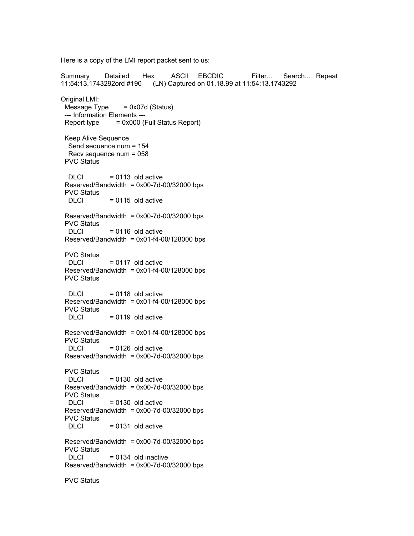Here is a copy of the LMI report packet sent to us:

Summary Detailed Hex ASCII EBCDIC Filter... Search... Repeat 11:54:13.1743292ord #190 (LN) Captured on 01.18.99 at 11:54:13.1743292 Original LMI:  $Message Type = 0x07d (Status)$ --- Information Elements ---  $Report type = 0x000 (Full Status Report)$ Keep Alive Sequence Send sequence num = 154 Recv sequence num = 058 PVC Status  $DLCI$  = 0113 old active  $Reserved/Bandwidth =  $0x00-7d-00/32000$  bps$ PVC Status  $DLCI = 0115$  old active  $Reserved/Bandwidth =  $0x00-7d-00/32000$  bps$ PVC Status<br>DLCI  $= 0116$  old active  $Reserved/Bandwidth =  $0x01-f4-00/128000$  bps$ PVC Status  $DLCI = 0117$  old active  $Reserved/Bandwidth =  $0x01-f4-00/128000$  bps$ PVC Status  $DLCI = 0118$  old active  $Reserved/Bandwidth =  $0x01-f4-00/128000$  bps$ PVC Status  $DLCI$  = 0119 old active  $Reserved/Bandwidth =  $0x01-f4-00/128000$  bps$ PVC Status  $DLCI$  = 0126 old active  $Reserved/Bandwidth =  $0x00-7d-00/32000$  bps$ PVC Status  $DLCI = 0130$  old active  $Reserved/Bandwidth =  $0x00-7d-00/32000$  bps$ PVC Status<br>DLCI  $= 0130$  old active  $Reserved/Bandwidth =  $0x00-7d-00/32000$  bps$ PVC Status  $DI C1 = 0131$  old active  $Reserved/Bandwidth =  $0x00-7d-00/32000$  bps$ PVC Status  $DLCI = 0134$  old inactive  $Reserved/Bandwidth =  $0x00-7d-00/32000$  bps$ PVC Status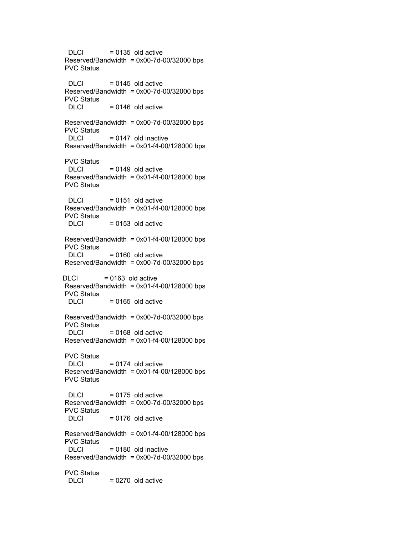$DLCI = 0135$  old active  $Reserved/Bandwidth =  $0x00-7d-00/32000$  bps$ PVC Status  $DLCI = 0145$  old active  $Reserved/Bandwidth =  $0x00-7d-00/32000$  bps$ PVC Status  $DLCI = 0146$  old active  $Reserved/Bandwidth =  $0x00-7d-00/32000$  bps$ PVC Status<br>DLCI  $= 0147$  old inactive  $Reserved/Bandwidth =  $0x01-f4-00/128000$  bps$ PVC Status<br>DLCI  $= 0149$  old active  $Reserved/Bandwidth =  $0x01-f4-00/128000$  bps$ PVC Status  $DLCI = 0151$  old active  $Reserved/Bandwidth =  $0x01-f4-00/128000$  bps$ PVC Status  $DLCI = 0153$  old active  $Reserved/Bandwidth =  $0x01-f4-00/128000$  bps$ PVC Status  $DLCI = 0160$  old active  $Reserved/Bandwidth =  $0x00-7d-00/32000$  bps$  $DLCI$  = 0163 old active  $Reserved/Bandwidth =  $0x01-f4-00/128000$  bps$ PVC Status<br>DLCI  $= 0165$  old active  $Reserved/Bandwidth =  $0x00-7d-00/32000$  bps$ PVC Status  $DLCI = 0168$  old active  $Reserved/Bandwidth =  $0x01-f4-00/128000$  bps$ PVC Status  $DLCI$  = 0174 old active  $Reserved/B and width =  $0x01-f4-00/128000$  bps$ PVC Status  $DLCI = 0175$  old active  $Reserved/Bandwidth =  $0x00-7d-00/32000$  bps$ PVC Status  $DLCI$  = 0176 old active  $Reserved/Bandwidth =  $0x01-f4-00/128000$  bps$ PVC Status  $DLCI = 0180$  old inactive  $Reserved/Bandwidth =  $0x00-7d-00/32000$  bps$ PVC Status  $DLCI = 0270$  old active